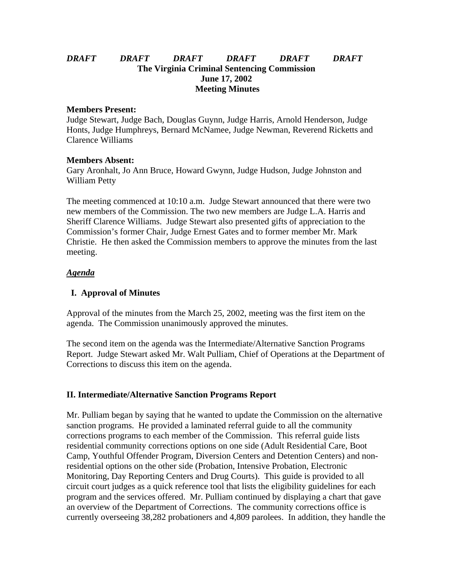# *DRAFT DRAFT DRAFT DRAFT DRAFT DRAFT* **The Virginia Criminal Sentencing Commission June 17, 2002 Meeting Minutes**

#### **Members Present:**

Judge Stewart, Judge Bach, Douglas Guynn, Judge Harris, Arnold Henderson, Judge Honts, Judge Humphreys, Bernard McNamee, Judge Newman, Reverend Ricketts and Clarence Williams

### **Members Absent:**

Gary Aronhalt, Jo Ann Bruce, Howard Gwynn, Judge Hudson, Judge Johnston and William Petty

The meeting commenced at 10:10 a.m. Judge Stewart announced that there were two new members of the Commission. The two new members are Judge L.A. Harris and Sheriff Clarence Williams. Judge Stewart also presented gifts of appreciation to the Commission's former Chair, Judge Ernest Gates and to former member Mr. Mark Christie. He then asked the Commission members to approve the minutes from the last meeting.

### *Agenda*

## **I. Approval of Minutes**

Approval of the minutes from the March 25, 2002, meeting was the first item on the agenda. The Commission unanimously approved the minutes.

The second item on the agenda was the Intermediate/Alternative Sanction Programs Report. Judge Stewart asked Mr. Walt Pulliam, Chief of Operations at the Department of Corrections to discuss this item on the agenda.

### **II. Intermediate/Alternative Sanction Programs Report**

Mr. Pulliam began by saying that he wanted to update the Commission on the alternative sanction programs. He provided a laminated referral guide to all the community corrections programs to each member of the Commission. This referral guide lists residential community corrections options on one side (Adult Residential Care, Boot Camp, Youthful Offender Program, Diversion Centers and Detention Centers) and nonresidential options on the other side (Probation, Intensive Probation, Electronic Monitoring, Day Reporting Centers and Drug Courts). This guide is provided to all circuit court judges as a quick reference tool that lists the eligibility guidelines for each program and the services offered. Mr. Pulliam continued by displaying a chart that gave an overview of the Department of Corrections. The community corrections office is currently overseeing 38,282 probationers and 4,809 parolees. In addition, they handle the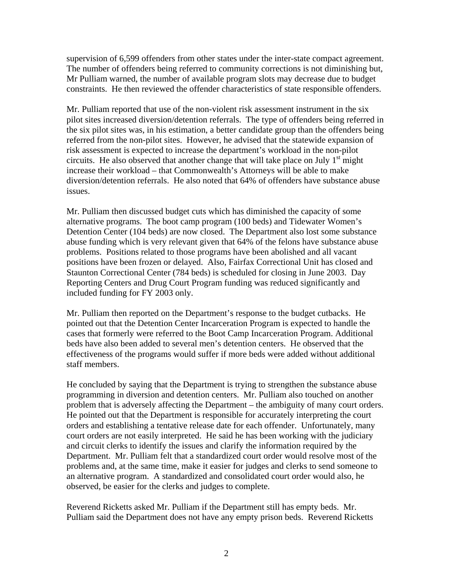supervision of 6,599 offenders from other states under the inter-state compact agreement. The number of offenders being referred to community corrections is not diminishing but, Mr Pulliam warned, the number of available program slots may decrease due to budget constraints. He then reviewed the offender characteristics of state responsible offenders.

Mr. Pulliam reported that use of the non-violent risk assessment instrument in the six pilot sites increased diversion/detention referrals. The type of offenders being referred in the six pilot sites was, in his estimation, a better candidate group than the offenders being referred from the non-pilot sites. However, he advised that the statewide expansion of risk assessment is expected to increase the department's workload in the non-pilot circuits. He also observed that another change that will take place on July  $1<sup>st</sup>$  might increase their workload – that Commonwealth's Attorneys will be able to make diversion/detention referrals. He also noted that 64% of offenders have substance abuse issues.

Mr. Pulliam then discussed budget cuts which has diminished the capacity of some alternative programs. The boot camp program (100 beds) and Tidewater Women's Detention Center (104 beds) are now closed. The Department also lost some substance abuse funding which is very relevant given that 64% of the felons have substance abuse problems. Positions related to those programs have been abolished and all vacant positions have been frozen or delayed. Also, Fairfax Correctional Unit has closed and Staunton Correctional Center (784 beds) is scheduled for closing in June 2003. Day Reporting Centers and Drug Court Program funding was reduced significantly and included funding for FY 2003 only.

Mr. Pulliam then reported on the Department's response to the budget cutbacks. He pointed out that the Detention Center Incarceration Program is expected to handle the cases that formerly were referred to the Boot Camp Incarceration Program. Additional beds have also been added to several men's detention centers. He observed that the effectiveness of the programs would suffer if more beds were added without additional staff members.

He concluded by saying that the Department is trying to strengthen the substance abuse programming in diversion and detention centers. Mr. Pulliam also touched on another problem that is adversely affecting the Department – the ambiguity of many court orders. He pointed out that the Department is responsible for accurately interpreting the court orders and establishing a tentative release date for each offender. Unfortunately, many court orders are not easily interpreted. He said he has been working with the judiciary and circuit clerks to identify the issues and clarify the information required by the Department. Mr. Pulliam felt that a standardized court order would resolve most of the problems and, at the same time, make it easier for judges and clerks to send someone to an alternative program. A standardized and consolidated court order would also, he observed, be easier for the clerks and judges to complete.

Reverend Ricketts asked Mr. Pulliam if the Department still has empty beds. Mr. Pulliam said the Department does not have any empty prison beds. Reverend Ricketts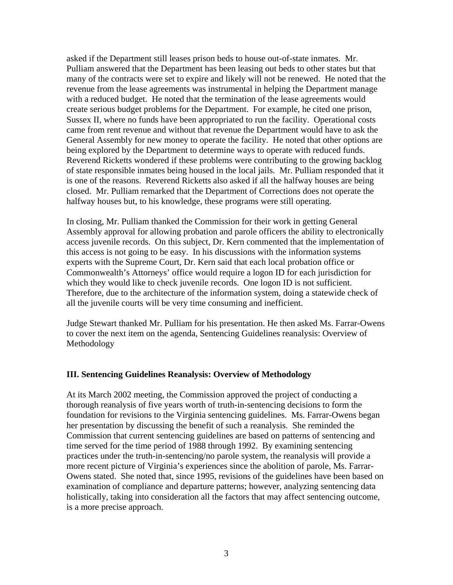asked if the Department still leases prison beds to house out-of-state inmates. Mr. Pulliam answered that the Department has been leasing out beds to other states but that many of the contracts were set to expire and likely will not be renewed. He noted that the revenue from the lease agreements was instrumental in helping the Department manage with a reduced budget. He noted that the termination of the lease agreements would create serious budget problems for the Department. For example, he cited one prison, Sussex II, where no funds have been appropriated to run the facility. Operational costs came from rent revenue and without that revenue the Department would have to ask the General Assembly for new money to operate the facility. He noted that other options are being explored by the Department to determine ways to operate with reduced funds. Reverend Ricketts wondered if these problems were contributing to the growing backlog of state responsible inmates being housed in the local jails. Mr. Pulliam responded that it is one of the reasons. Reverend Ricketts also asked if all the halfway houses are being closed. Mr. Pulliam remarked that the Department of Corrections does not operate the halfway houses but, to his knowledge, these programs were still operating.

In closing, Mr. Pulliam thanked the Commission for their work in getting General Assembly approval for allowing probation and parole officers the ability to electronically access juvenile records. On this subject, Dr. Kern commented that the implementation of this access is not going to be easy. In his discussions with the information systems experts with the Supreme Court, Dr. Kern said that each local probation office or Commonwealth's Attorneys' office would require a logon ID for each jurisdiction for which they would like to check juvenile records. One logon ID is not sufficient. Therefore, due to the architecture of the information system, doing a statewide check of all the juvenile courts will be very time consuming and inefficient.

Judge Stewart thanked Mr. Pulliam for his presentation. He then asked Ms. Farrar-Owens to cover the next item on the agenda, Sentencing Guidelines reanalysis: Overview of Methodology

### **III. Sentencing Guidelines Reanalysis: Overview of Methodology**

At its March 2002 meeting, the Commission approved the project of conducting a thorough reanalysis of five years worth of truth-in-sentencing decisions to form the foundation for revisions to the Virginia sentencing guidelines. Ms. Farrar-Owens began her presentation by discussing the benefit of such a reanalysis. She reminded the Commission that current sentencing guidelines are based on patterns of sentencing and time served for the time period of 1988 through 1992. By examining sentencing practices under the truth-in-sentencing/no parole system, the reanalysis will provide a more recent picture of Virginia's experiences since the abolition of parole, Ms. Farrar-Owens stated. She noted that, since 1995, revisions of the guidelines have been based on examination of compliance and departure patterns; however, analyzing sentencing data holistically, taking into consideration all the factors that may affect sentencing outcome, is a more precise approach.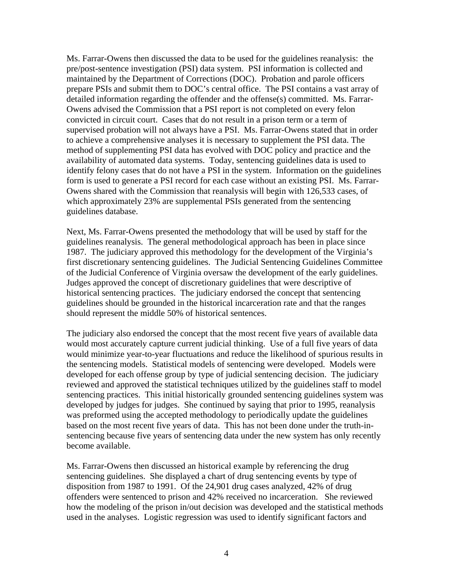Ms. Farrar-Owens then discussed the data to be used for the guidelines reanalysis: the pre/post-sentence investigation (PSI) data system. PSI information is collected and maintained by the Department of Corrections (DOC). Probation and parole officers prepare PSIs and submit them to DOC's central office. The PSI contains a vast array of detailed information regarding the offender and the offense(s) committed. Ms. Farrar-Owens advised the Commission that a PSI report is not completed on every felon convicted in circuit court. Cases that do not result in a prison term or a term of supervised probation will not always have a PSI. Ms. Farrar-Owens stated that in order to achieve a comprehensive analyses it is necessary to supplement the PSI data. The method of supplementing PSI data has evolved with DOC policy and practice and the availability of automated data systems. Today, sentencing guidelines data is used to identify felony cases that do not have a PSI in the system. Information on the guidelines form is used to generate a PSI record for each case without an existing PSI. Ms. Farrar-Owens shared with the Commission that reanalysis will begin with 126,533 cases, of which approximately 23% are supplemental PSIs generated from the sentencing guidelines database.

Next, Ms. Farrar-Owens presented the methodology that will be used by staff for the guidelines reanalysis. The general methodological approach has been in place since 1987. The judiciary approved this methodology for the development of the Virginia's first discretionary sentencing guidelines. The Judicial Sentencing Guidelines Committee of the Judicial Conference of Virginia oversaw the development of the early guidelines. Judges approved the concept of discretionary guidelines that were descriptive of historical sentencing practices. The judiciary endorsed the concept that sentencing guidelines should be grounded in the historical incarceration rate and that the ranges should represent the middle 50% of historical sentences.

The judiciary also endorsed the concept that the most recent five years of available data would most accurately capture current judicial thinking. Use of a full five years of data would minimize year-to-year fluctuations and reduce the likelihood of spurious results in the sentencing models. Statistical models of sentencing were developed. Models were developed for each offense group by type of judicial sentencing decision. The judiciary reviewed and approved the statistical techniques utilized by the guidelines staff to model sentencing practices. This initial historically grounded sentencing guidelines system was developed by judges for judges. She continued by saying that prior to 1995, reanalysis was preformed using the accepted methodology to periodically update the guidelines based on the most recent five years of data. This has not been done under the truth-insentencing because five years of sentencing data under the new system has only recently become available.

Ms. Farrar-Owens then discussed an historical example by referencing the drug sentencing guidelines. She displayed a chart of drug sentencing events by type of disposition from 1987 to 1991. Of the 24,901 drug cases analyzed, 42% of drug offenders were sentenced to prison and 42% received no incarceration. She reviewed how the modeling of the prison in/out decision was developed and the statistical methods used in the analyses. Logistic regression was used to identify significant factors and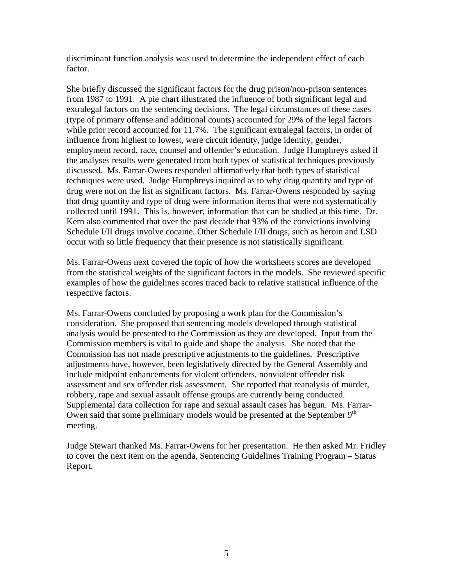discriminant function analysis was used to determine the independent effect of each factor.

She briefly discussed the significant factors for the drug prison/non-prison sentences from 1987 to 1991. A pie chart illustrated the influence of both significant legal and extralegal factors on the sentencing decisions. The legal circumstances of these cases (type of primary offense and additional counts) accounted for 29% of the legal factors while prior record accounted for 11.7%. The significant extralegal factors, in order of influence from highest to lowest, were circuit identity, judge identity, gender, employment record, race, counsel and offender's education. Judge Humphreys asked if the analyses results were generated from both types of statistical techniques previously discussed. Ms. Farrar-Owens responded affirmatively that both types of statistical techniques were used. Judge Humphreys inquired as to why drug quantity and type of drug were not on the list as significant factors. Ms. Farrar-Owens responded by saying that drug quantity and type of drug were information items that were not systematically collected until 1991. This is, however, information that can be studied at this time. Dr. Kern also commented that over the past decade that 93% of the convictions involving Schedule I/II drugs involve cocaine. Other Schedule I/II drugs, such as heroin and LSD occur with so little frequency that their presence is not statistically significant.

Ms. Farrar-Owens next covered the topic of how the worksheets scores are developed from the statistical weights of the significant factors in the models. She reviewed specific examples of how the guidelines scores traced back to relative statistical influence of the respective factors.

Ms. Farrar-Owens concluded by proposing a work plan for the Commission's consideration. She proposed that sentencing models developed through statistical analysis would be presented to the Commission as they are developed. Input from the Commission members is vital to guide and shape the analysis. She noted that the Commission has not made prescriptive adjustments to the guidelines. Prescriptive adjustments have, however, been legislatively directed by the General Assembly and include midpoint enhancements for violent offenders, nonviolent offender risk assessment and sex offender risk assessment. She reported that reanalysis of murder, robbery, rape and sexual assault offense groups are currently being conducted. Supplemental data collection for rape and sexual assault cases has begun. Ms. Farrar-Owen said that some preliminary models would be presented at the September 9<sup>th</sup> meeting.

Judge Stewart thanked Ms. Farrar-Owens for her presentation. He then asked Mr. Fridley to cover the next item on the agenda, Sentencing Guidelines Training Program – Status Report.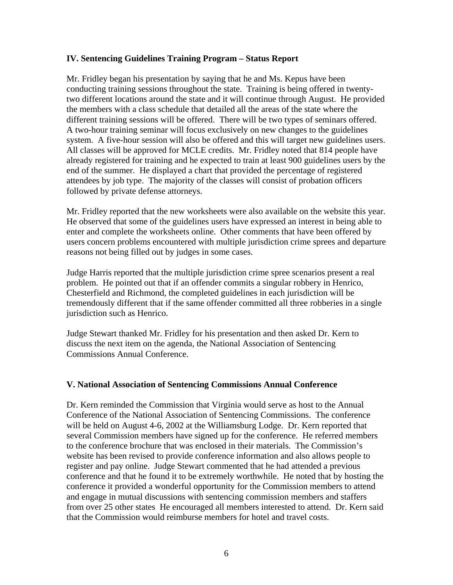### **IV. Sentencing Guidelines Training Program – Status Report**

Mr. Fridley began his presentation by saying that he and Ms. Kepus have been conducting training sessions throughout the state. Training is being offered in twentytwo different locations around the state and it will continue through August. He provided the members with a class schedule that detailed all the areas of the state where the different training sessions will be offered. There will be two types of seminars offered. A two-hour training seminar will focus exclusively on new changes to the guidelines system. A five-hour session will also be offered and this will target new guidelines users. All classes will be approved for MCLE credits. Mr. Fridley noted that 814 people have already registered for training and he expected to train at least 900 guidelines users by the end of the summer. He displayed a chart that provided the percentage of registered attendees by job type. The majority of the classes will consist of probation officers followed by private defense attorneys.

Mr. Fridley reported that the new worksheets were also available on the website this year. He observed that some of the guidelines users have expressed an interest in being able to enter and complete the worksheets online. Other comments that have been offered by users concern problems encountered with multiple jurisdiction crime sprees and departure reasons not being filled out by judges in some cases.

Judge Harris reported that the multiple jurisdiction crime spree scenarios present a real problem. He pointed out that if an offender commits a singular robbery in Henrico, Chesterfield and Richmond, the completed guidelines in each jurisdiction will be tremendously different that if the same offender committed all three robberies in a single jurisdiction such as Henrico.

Judge Stewart thanked Mr. Fridley for his presentation and then asked Dr. Kern to discuss the next item on the agenda, the National Association of Sentencing Commissions Annual Conference.

### **V. National Association of Sentencing Commissions Annual Conference**

Dr. Kern reminded the Commission that Virginia would serve as host to the Annual Conference of the National Association of Sentencing Commissions. The conference will be held on August 4-6, 2002 at the Williamsburg Lodge. Dr. Kern reported that several Commission members have signed up for the conference. He referred members to the conference brochure that was enclosed in their materials. The Commission's website has been revised to provide conference information and also allows people to register and pay online. Judge Stewart commented that he had attended a previous conference and that he found it to be extremely worthwhile. He noted that by hosting the conference it provided a wonderful opportunity for the Commission members to attend and engage in mutual discussions with sentencing commission members and staffers from over 25 other states He encouraged all members interested to attend. Dr. Kern said that the Commission would reimburse members for hotel and travel costs.